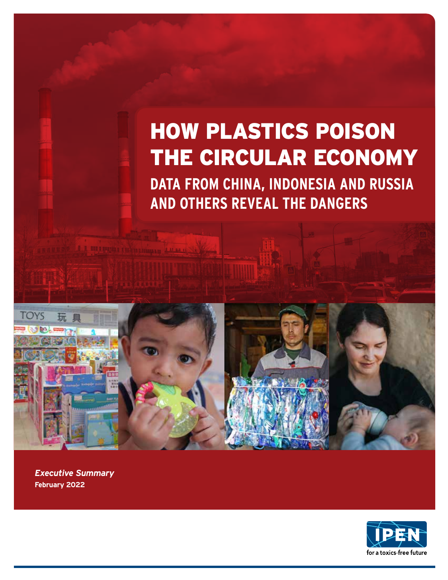# HOW PLASTICS POISON THE CIRCULAR ECONOMY

**DATA FROM CHINA, INDONESIA AND RUSSIA AND OTHERS REVEAL THE DANGERS**



*Executive Summary* **February 2022**

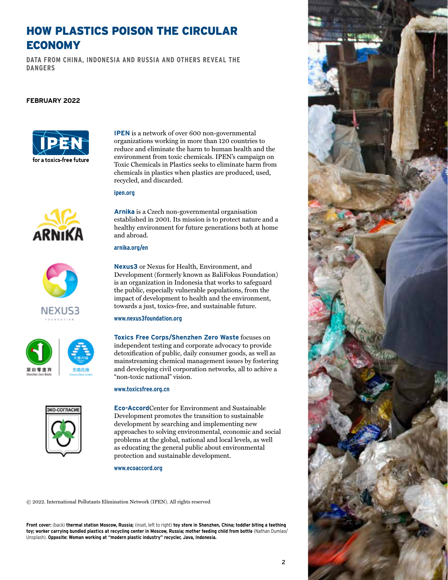## HOW PLASTICS POISON THE CIRCULAR ECONOMY

**DATA FROM CHINA, INDONESIA AND RUSSIA AND OTHERS REVEAL THE DANGERS**

#### **February 2022**



**IPEN** is a network of over 600 non-governmental organizations working in more than 120 countries to reduce and eliminate the harm to human health and the environment from toxic chemicals. IPEN's campaign on Toxic Chemicals in Plastics seeks to eliminate harm from chemicals in plastics when plastics are produced, used, recycled, and discarded.

#### **ipen.org**









**Arnika** is a Czech non-governmental organisation established in 2001. Its mission is to protect nature and a healthy environment for future generations both at home and abroad.

#### **arnika.org/en**

**Nexus3** or Nexus for Health, Environment, and Development (formerly known as BaliFokus Foundation) is an organization in Indonesia that works to safeguard the public, especially vulnerable populations, from the impact of development to health and the environment, towards a just, toxics-free, and sustainable future.

#### **www.nexus3foundation.org**

**Toxics Free Corps/Shenzhen Zero Waste** focuses on independent testing and corporate advocacy to provide detoxification of public, daily consumer goods, as well as mainstreaming chemical management issues by fostering and developing civil corporation networks, all to achive a "non-toxic national" vision.

#### **www.toxicsfree.org.cn**

**Eco-Accord**Center for Environment and Sustainable Development promotes the transition to sustainable development by searching and implementing new approaches to solving environmental, economic and social problems at the global, national and local levels, as well as educating the general public about environmental protection and sustainable development.

#### **www.ecoaccord.org**

© 2022. International Pollutants Elimination Network (IPEN). All rights reserved

**Front cover:** (back) **thermal station Moscow, Russia;** (inset, left to right) **toy store in Shenzhen, China; toddler biting a teething toy; worker carrying bundled plastics at recycling center in Moscow, Russia; mother feeding child from bottle** (Nathan Dumlao/ Unsplash). **Opposite: Woman working at "modern plastic industry" recycler, Java, Indonesia.**



2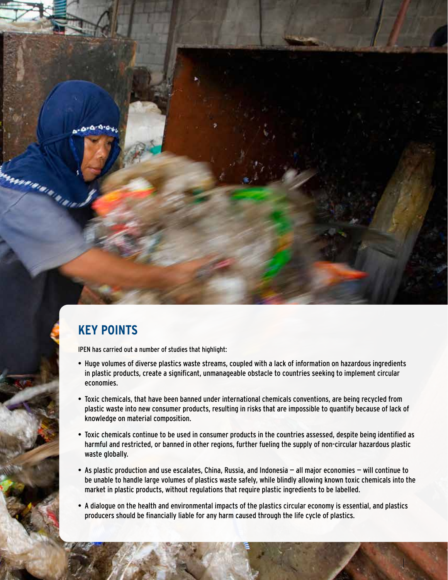

arromandones de la Calendaria<br>La calendaria de la Calendaria

## **KEY POINTS**

IPEN has carried out a number of studies that highlight:

- Huge volumes of diverse plastics waste streams, coupled with a lack of information on hazardous ingredients in plastic products, create a significant, unmanageable obstacle to countries seeking to implement circular economies.
- Toxic chemicals, that have been banned under international chemicals conventions, are being recycled from plastic waste into new consumer products, resulting in risks that are impossible to quantify because of lack of knowledge on material composition.
- Toxic chemicals continue to be used in consumer products in the countries assessed, despite being identified as harmful and restricted, or banned in other regions, further fueling the supply of non-circular hazardous plastic waste globally.
- As plastic production and use escalates, China, Russia, and Indonesia all major economies will continue to be unable to handle large volumes of plastics waste safely, while blindly allowing known toxic chemicals into the market in plastic products, without regulations that require plastic ingredients to be labelled.
- A dialogue on the health and environmental impacts of the plastics circular economy is essential, and plastics producers should be financially liable for any harm caused through the life cycle of plastics.

How plastics poison the circular economy (February 2022) 3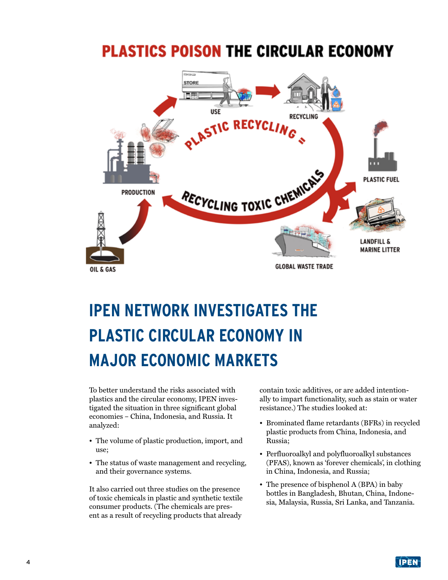# **PLASTICS POISON THE CIRCULAR ECONOMY**



# **IPEN NETWORK INVESTIGATES THE PLASTIC CIRCULAR ECONOMY IN MAJOR ECONOMIC MARKETS**

To better understand the risks associated with plastics and the circular economy, IPEN investigated the situation in three significant global economies – China, Indonesia, and Russia. It analyzed:

- The volume of plastic production, import, and use;
- The status of waste management and recycling, and their governance systems.

It also carried out three studies on the presence of toxic chemicals in plastic and synthetic textile consumer products. (The chemicals are present as a result of recycling products that already

contain toxic additives, or are added intentionally to impart functionality, such as stain or water resistance.) The studies looked at:

- Brominated flame retardants (BFRs) in recycled plastic products from China, Indonesia, and Russia;
- Perfluoroalkyl and polyfluoroalkyl substances (PFAS), known as 'forever chemicals', in clothing in China, Indonesia, and Russia;
- The presence of bisphenol A (BPA) in baby bottles in Bangladesh, Bhutan, China, Indonesia, Malaysia, Russia, Sri Lanka, and Tanzania.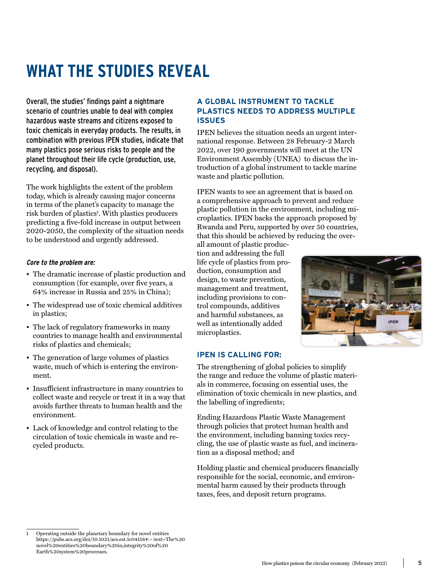# **WHAT THE STUDIES REVEAL**

Overall, the studies' findings paint a nightmare scenario of countries unable to deal with complex hazardous waste streams and citizens exposed to toxic chemicals in everyday products. The results, in combination with previous IPEN studies, indicate that many plastics pose serious risks to people and the planet throughout their life cycle (production, use, recycling, and disposal).

The work highlights the extent of the problem today, which is already causing major concerns in terms of the planet's capacity to manage the risk burden of plastics<sup>1</sup>. With plastics producers predicting a five-fold increase in output between 2020-2050, the complexity of the situation needs to be understood and urgently addressed.

#### **Core to the problem are:**

- The dramatic increase of plastic production and consumption (for example, over five years, a 64% increase in Russia and 25% in China);
- The widespread use of toxic chemical additives in plastics;
- The lack of regulatory frameworks in many countries to manage health and environmental risks of plastics and chemicals;
- The generation of large volumes of plastics waste, much of which is entering the environment.
- Insufficient infrastructure in many countries to collect waste and recycle or treat it in a way that avoids further threats to human health and the environment.
- Lack of knowledge and control relating to the circulation of toxic chemicals in waste and recycled products.

#### **A GLOBAL INSTRUMENT TO TACKLE PLASTICS NEEDS TO ADDRESS MULTIPLE ISSUES**

IPEN believes the situation needs an urgent international response. Between 28 February-2 March 2022, over 190 governments will meet at the UN Environment Assembly (UNEA) to discuss the introduction of a global instrument to tackle marine waste and plastic pollution.

IPEN wants to see an agreement that is based on a comprehensive approach to prevent and reduce plastic pollution in the environment, including microplastics. IPEN backs the approach proposed by Rwanda and Peru, supported by over 50 countries, that this should be achieved by reducing the over-

all amount of plastic production and addressing the full life cycle of plastics from production, consumption and design, to waste prevention, management and treatment, including provisions to control compounds, additives and harmful substances, as well as intentionally added microplastics.



#### **IPEN IS CALLING FOR:**

The strengthening of global policies to simplify the range and reduce the volume of plastic materials in commerce, focusing on essential uses, the elimination of toxic chemicals in new plastics, and the labelling of ingredients;

Ending Hazardous Plastic Waste Management through policies that protect human health and the environment, including banning toxics recycling, the use of plastic waste as fuel, and incineration as a disposal method; and

Holding plastic and chemical producers financially responsible for the social, economic, and environmental harm caused by their products through taxes, fees, and deposit return programs.

<sup>1</sup> Operating outside the planetary boundary for novel entities https://pubs.acs.org/doi/10.1021/acs.est.1c04158#:~:text=The%20 novel%20entities%20boundary%20in,integrity%20of%20 Earth%20system%20processes.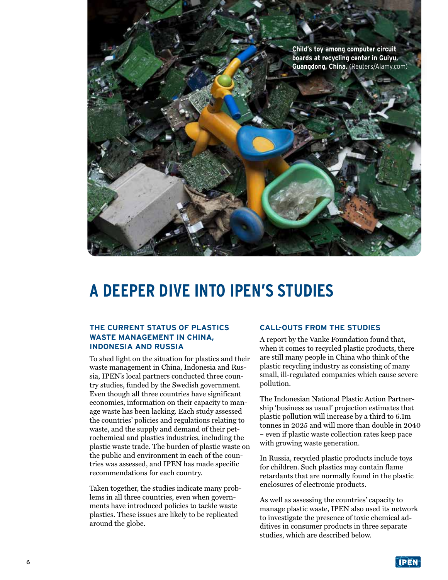**Child's toy among computer circuit boards at recycling center in Guiyu, Guangdong, China.** (Reuters/Alamy.com)

# **A DEEPER DIVE INTO IPEN'S STUDIES**

#### **THE CURRENT STATUS OF PLASTICS WASTE MANAGEMENT IN CHINA, INDONESIA AND RUSSIA**

To shed light on the situation for plastics and their waste management in China, Indonesia and Russia, IPEN's local partners conducted three country studies, funded by the Swedish government. Even though all three countries have significant economies, information on their capacity to manage waste has been lacking. Each study assessed the countries' policies and regulations relating to waste, and the supply and demand of their petrochemical and plastics industries, including the plastic waste trade. The burden of plastic waste on the public and environment in each of the countries was assessed, and IPEN has made specific recommendations for each country.

Taken together, the studies indicate many problems in all three countries, even when governments have introduced policies to tackle waste plastics. These issues are likely to be replicated around the globe.

#### **CALL-OUTS FROM THE STUDIES**

A report by the Vanke Foundation found that, when it comes to recycled plastic products, there are still many people in China who think of the plastic recycling industry as consisting of many small, ill-regulated companies which cause severe pollution.

The Indonesian National Plastic Action Partnership 'business as usual' projection estimates that plastic pollution will increase by a third to 6.1m tonnes in 2025 and will more than double in 2040 – even if plastic waste collection rates keep pace with growing waste generation.

In Russia, recycled plastic products include toys for children. Such plastics may contain flame retardants that are normally found in the plastic enclosures of electronic products.

As well as assessing the countries' capacity to manage plastic waste, IPEN also used its network to investigate the presence of toxic chemical additives in consumer products in three separate studies, which are described below.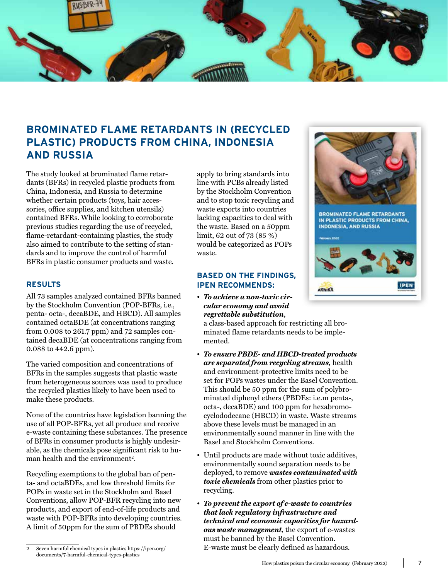

### **BROMINATED FLAME RETARDANTS IN (RECYCLED PLASTIC) PRODUCTS FROM CHINA, INDONESIA AND RUSSIA**

The study looked at brominated flame retardants (BFRs) in recycled plastic products from China, Indonesia, and Russia to determine whether certain products (toys, hair accessories, office supplies, and kitchen utensils) contained BFRs. While looking to corroborate previous studies regarding the use of recycled, flame-retardant-containing plastics, the study also aimed to contribute to the setting of standards and to improve the control of harmful BFRs in plastic consumer products and waste.

#### **RESULTS**

All 73 samples analyzed contained BFRs banned by the Stockholm Convention (POP-BFRs, i.e., penta- octa-, decaBDE, and HBCD). All samples contained octaBDE (at concentrations ranging from 0.008 to 261.7 ppm) and 72 samples contained decaBDE (at concentrations ranging from 0.088 to 442.6 ppm).

The varied composition and concentrations of BFRs in the samples suggests that plastic waste from heterogeneous sources was used to produce the recycled plastics likely to have been used to make these products.

None of the countries have legislation banning the use of all POP-BFRs, yet all produce and receive e-waste containing these substances. The presence of BFRs in consumer products is highly undesirable, as the chemicals pose significant risk to human health and the environment<sup>2</sup>.

Recycling exemptions to the global ban of penta- and octaBDEs, and low threshold limits for POPs in waste set in the Stockholm and Basel Conventions, allow POP-BFR recycling into new products, and export of end-of-life products and waste with POP-BFRs into developing countries. A limit of 50ppm for the sum of PBDEs should

apply to bring standards into line with PCBs already listed by the Stockholm Convention and to stop toxic recycling and waste exports into countries lacking capacities to deal with the waste. Based on a 50ppm limit, 62 out of 73 (85 %) would be categorized as POPs waste.

#### **BASED ON THE FINDINGS, IPEN RECOMMENDS:**

• *To achieve a non-toxic circular economy and avoid regrettable substitution*,

a class-based approach for restricting all brominated flame retardants needs to be implemented.

- *To ensure PBDE- and HBCD-treated products are separated from recycling streams,* health and environment-protective limits need to be set for POPs wastes under the Basel Convention. This should be 50 ppm for the sum of polybrominated diphenyl ethers (PBDEs: i.e.m penta-, octa-, decaBDE) and 100 ppm for hexabromocyclododecane (HBCD) in waste. Waste streams above these levels must be managed in an environmentally sound manner in line with the Basel and Stockholm Conventions.
- Until products are made without toxic additives, environmentally sound separation needs to be deployed, to remove *wastes contaminated with toxic chemicals* from other plastics prior to recycling.
- *To prevent the export of e-waste to countries that lack regulatory infrastructure and technical and economic capacities for hazardous waste management*, the export of e-wastes must be banned by the Basel Convention. E-waste must be clearly defined as hazardous.



<sup>2</sup> Seven harmful chemical types in plastics https://ipen.org/ documents/7-harmful-chemical-types-plastics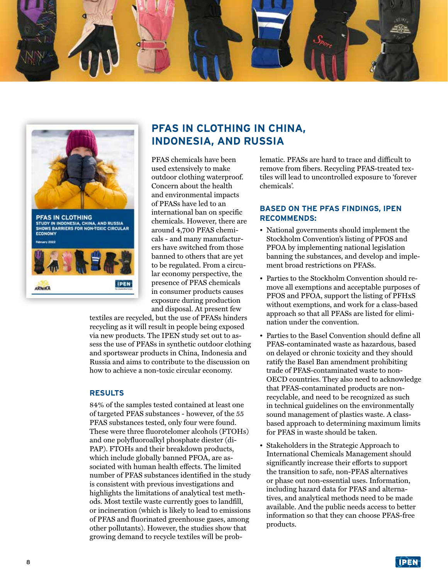



### **PFAS IN CLOTHING IN CHINA, INDONESIA, AND RUSSIA**

PFAS chemicals have been used extensively to make outdoor clothing waterproof. Concern about the health and environmental impacts of PFASs have led to an international ban on specific chemicals. However, there are around 4,700 PFAS chemicals - and many manufacturers have switched from those banned to others that are yet to be regulated. From a circular economy perspective, the presence of PFAS chemicals in consumer products causes exposure during production and disposal. At present few

textiles are recycled, but the use of PFASs hinders recycling as it will result in people being exposed via new products. The IPEN study set out to assess the use of PFASs in synthetic outdoor clothing and sportswear products in China, Indonesia and Russia and aims to contribute to the discussion on how to achieve a non-toxic circular economy.

#### **RESULTS**

84% of the samples tested contained at least one of targeted PFAS substances - however, of the 55 PFAS substances tested, only four were found. These were three fluorotelomer alcohols (FTOHs) and one polyfluoroalkyl phosphate diester (di-PAP). FTOHs and their breakdown products, which include globally banned PFOA, are associated with human health effects. The limited number of PFAS substances identified in the study is consistent with previous investigations and highlights the limitations of analytical test methods. Most textile waste currently goes to landfill, or incineration (which is likely to lead to emissions of PFAS and fluorinated greenhouse gases, among other pollutants). However, the studies show that growing demand to recycle textiles will be problematic. PFASs are hard to trace and difficult to remove from fibers. Recycling PFAS-treated textiles will lead to uncontrolled exposure to 'forever chemicals'.

#### **BASED ON THE PFAS FINDINGS, IPEN RECOMMENDS:**

- National governments should implement the Stockholm Convention's listing of PFOS and PFOA by implementing national legislation banning the substances, and develop and implement broad restrictions on PFASs.
- Parties to the Stockholm Convention should remove all exemptions and acceptable purposes of PFOS and PFOA, support the listing of PFHxS without exemptions, and work for a class-based approach so that all PFASs are listed for elimination under the convention.
- Parties to the Basel Convention should define all PFAS-contaminated waste as hazardous, based on delayed or chronic toxicity and they should ratify the Basel Ban amendment prohibiting trade of PFAS-contaminated waste to non-OECD countries. They also need to acknowledge that PFAS-contaminated products are nonrecyclable, and need to be recognized as such in technical guidelines on the environmentally sound management of plastics waste. A classbased approach to determining maximum limits for PFAS in waste should be taken.
- Stakeholders in the Strategic Approach to International Chemicals Management should significantly increase their efforts to support the transition to safe, non-PFAS alternatives or phase out non-essential uses. Information, including hazard data for PFAS and alternatives, and analytical methods need to be made available. And the public needs access to better information so that they can choose PFAS-free products.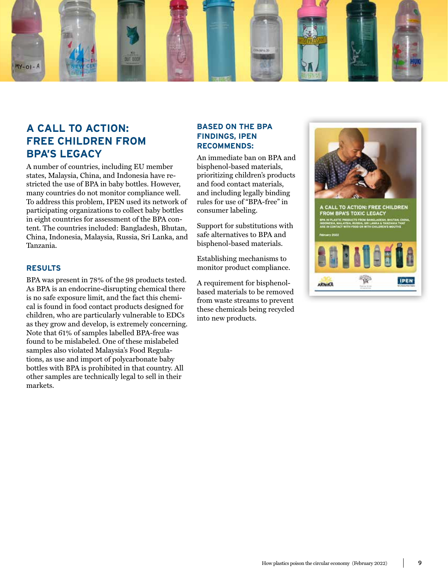

## **A CALL TO ACTION: FREE CHILDREN FROM BPA'S LEGACY**

A number of countries, including EU member states, Malaysia, China, and Indonesia have restricted the use of BPA in baby bottles. However, many countries do not monitor compliance well. To address this problem, IPEN used its network of participating organizations to collect baby bottles in eight countries for assessment of the BPA content. The countries included: Bangladesh, Bhutan, China, Indonesia, Malaysia, Russia, Sri Lanka, and Tanzania.

#### **RESULTS**

BPA was present in 78% of the 98 products tested. As BPA is an endocrine-disrupting chemical there is no safe exposure limit, and the fact this chemical is found in food contact products designed for children, who are particularly vulnerable to EDCs as they grow and develop, is extremely concerning. Note that 61% of samples labelled BPA-free was found to be mislabeled. One of these mislabeled samples also violated Malaysia's Food Regulations, as use and import of polycarbonate baby bottles with BPA is prohibited in that country. All other samples are technically legal to sell in their markets.

#### **BASED ON THE BPA FINDINGS, IPEN RECOMMENDS:**

An immediate ban on BPA and bisphenol-based materials, prioritizing children's products and food contact materials, and including legally binding rules for use of "BPA-free" in consumer labeling.

Support for substitutions with safe alternatives to BPA and bisphenol-based materials.

Establishing mechanisms to monitor product compliance.

A requirement for bisphenolbased materials to be removed from waste streams to prevent these chemicals being recycled into new products.